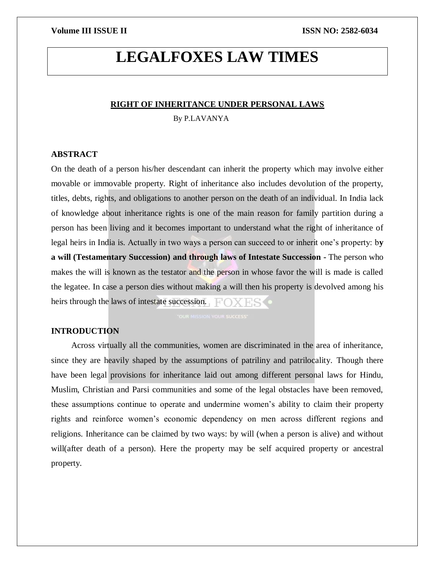# **LEGALFOXES LAW TIMES**

#### **RIGHT OF INHERITANCE UNDER PERSONAL LAWS**

By P.LAVANYA

#### **ABSTRACT**

On the death of a person his/her descendant can inherit the property which may involve either movable or immovable property. Right of inheritance also includes devolution of the property, titles, debts, rights, and obligations to another person on the death of an individual. In India lack of knowledge about inheritance rights is one of the main reason for family partition during a person has been living and it becomes important to understand what the right of inheritance of legal heirs in India is. Actually in two ways a person can succeed to or inherit one's property: b**y a will (Testamentary Succession) and through laws of Intestate Succession -** The person who makes the will is known as the testator and the person in whose favor the will is made is called the legatee. In case a person dies without making a will then his property is devolved among his heirs through the laws of intestate succession.  $\Box$ 

### **INTRODUCTION**

Across virtually all the communities, women are discriminated in the area of inheritance, since they are heavily shaped by the assumptions of patriliny and patrilocality. Though there have been legal provisions for inheritance laid out among different personal laws for Hindu, Muslim, Christian and Parsi communities and some of the legal obstacles have been removed, these assumptions continue to operate and undermine women's ability to claim their property rights and reinforce women's economic dependency on men across different regions and religions. Inheritance can be claimed by two ways: by will (when a person is alive) and without will(after death of a person). Here the property may be self acquired property or ancestral property.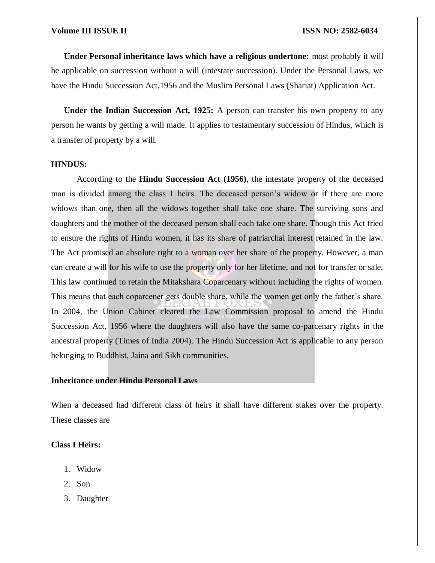**Under Personal inheritance laws which have a religious undertone:** most probably it will be applicable on succession without a will (intestate succession). Under the Personal Laws, we have the Hindu Succession Act,1956 and the Muslim Personal Laws (Shariat) Application Act.

**Under the Indian Succession Act, 1925:** A person can transfer his own property to any person he wants by getting a will made. It applies to testamentary succession of Hindus, which is a transfer of property by a will.

#### **HINDUS:**

According to the **Hindu Succession Act (1956)**, the intestate property of the deceased man is divided among the class 1 heirs. The deceased person's widow or if there are more widows than one, then all the widows together shall take one share. The surviving sons and daughters and the mother of the deceased person shall each take one share. Though this Act tried to ensure the rights of Hindu women, it has its share of patriarchal interest retained in the law. The Act promised an absolute right to a woman over her share of the property. However, a man can create a will for his wife to use the property only for her lifetime, and not for transfer or sale. This law continued to retain the Mitakshara Coparcenary without including the rights of women. This means that each coparcener gets double share, while the women get only the father's share. In 2004, the Union Cabinet cleared the Law Commission proposal to amend the Hindu Succession Act, 1956 where the daughters will also have the same co-parcenary rights in the ancestral property (Times of India 2004). The Hindu Succession Act is applicable to any person belonging to Buddhist, Jaina and Sikh communities.

#### **Inheritance under Hindu Personal Laws**

When a deceased had different class of heirs it shall have different stakes over the property. These classes are

#### **Class I Heirs:**

- 1. Widow
- 2. Son
- 3. Daughter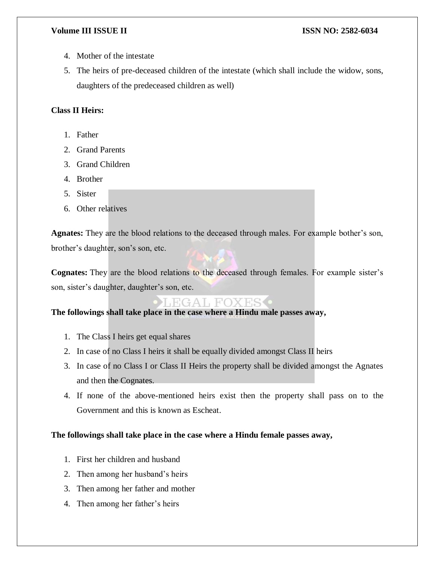- 4. Mother of the intestate
- 5. The heirs of pre-deceased children of the intestate (which shall include the widow, sons, daughters of the predeceased children as well)

### **Class II Heirs:**

- 1. Father
- 2. Grand Parents
- 3. Grand Children
- 4. Brother
- 5. Sister
- 6. Other relatives

**Agnates:** They are the blood relations to the deceased through males. For example bother's son, brother's daughter, son's son, etc.

**Cognates:** They are the blood relations to the deceased through females. For example sister's son, sister's daughter, daughter's son, etc.

## LEGAL FOXES

**The followings shall take place in the case where a Hindu male passes away,**

- 1. The Class I heirs get equal shares
- 2. In case of no Class I heirs it shall be equally divided amongst Class II heirs
- 3. In case of no Class I or Class II Heirs the property shall be divided amongst the Agnates and then the Cognates.
- 4. If none of the above-mentioned heirs exist then the property shall pass on to the Government and this is known as Escheat.

### **The followings shall take place in the case where a Hindu female passes away,**

- 1. First her children and husband
- 2. Then among her husband's heirs
- 3. Then among her father and mother
- 4. Then among her father's heirs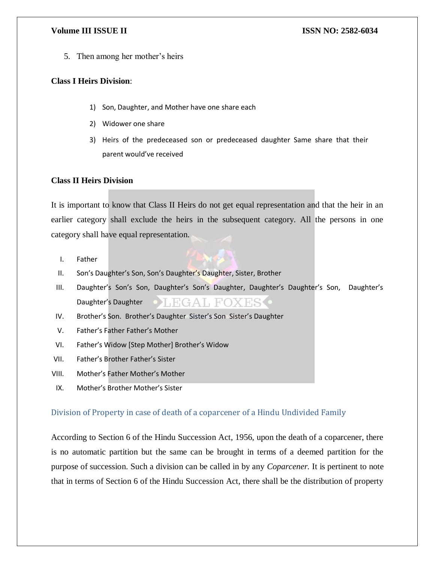5. Then among her mother's heirs

### **Class I Heirs Division**:

- 1) Son, Daughter, and Mother have one share each
- 2) Widower one share
- 3) Heirs of the predeceased son or predeceased daughter Same share that their parent would've received

### **Class II Heirs Division**

It is important to know that Class II Heirs do not get equal representation and that the heir in an earlier category shall exclude the heirs in the subsequent category. All the persons in one category shall have equal representation.

- I. Father
- II. Son's Daughter's Son, Son's Daughter's Daughter, Sister, Brother
- III. Daughter's Son's Son, Daughter's Son's Daughter, Daughter's Daughter's Son, Daughter's Daughter's Daughter **HGAL FOXES** •
- IV. Brother's Son. Brother's Daughter Sister's Son Sister's Daughter
- V. Father's Father Father's Mother
- VI. Father's Widow [Step Mother] Brother's Widow
- VII. Father's Brother Father's Sister
- VIII. Mother's Father Mother's Mother
- IX. Mother's Brother Mother's Sister

### Division of Property in case of death of a coparcener of a Hindu Undivided Family

According to Section 6 of the Hindu Succession Act, 1956, upon the death of a coparcener, there is no automatic partition but the same can be brought in terms of a deemed partition for the purpose of succession. Such a division can be called in by any *Coparcener.* It is pertinent to note that in terms of Section 6 of the Hindu Succession Act, there shall be the distribution of property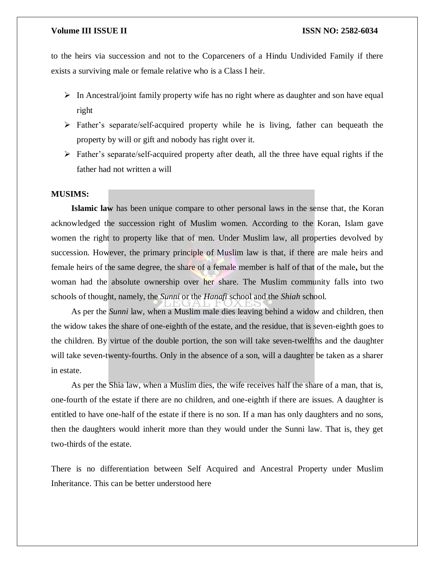to the heirs via succession and not to the Coparceners of a Hindu Undivided Family if there exists a surviving male or female relative who is a Class I heir.

- $\triangleright$  In Ancestral/joint family property wife has no right where as daughter and son have equal right
- Father's separate/self-acquired property while he is living, father can bequeath the property by will or gift and nobody has right over it.
- $\triangleright$  Father's separate/self-acquired property after death, all the three have equal rights if the father had not written a will

#### **MUSIMS:**

**Islamic law** has been unique compare to other personal laws in the sense that, the Koran acknowledged the succession right of Muslim women. According to the Koran, Islam gave women the right to property like that of men. Under Muslim law, all properties devolved by succession. However, the primary principle of Muslim law is that, if there are male heirs and female heirs of the same degree, the share of a female member is half of that of the male**,** but the woman had the absolute ownership over her share. The Muslim community falls into two schools of thought, namely, the *Sunni* or the *Hanafi* school and the *Shiah* school.

As per the *Sunni* law, when a Muslim male dies leaving behind a widow and children, then the widow takes the share of one-eighth of the estate, and the residue, that is seven-eighth goes to the children. By virtue of the double portion, the son will take seven-twelfths and the daughter will take seven-twenty-fourths. Only in the absence of a son, will a daughter be taken as a sharer in estate.

As per the Shia law, when a Muslim dies, the wife receives half the share of a man, that is, one-fourth of the estate if there are no children, and one-eighth if there are issues. A daughter is entitled to have one-half of the estate if there is no son. If a man has only daughters and no sons, then the daughters would inherit more than they would under the Sunni law. That is, they get two-thirds of the estate.

There is no differentiation between Self Acquired and Ancestral Property under Muslim Inheritance. This can be better understood here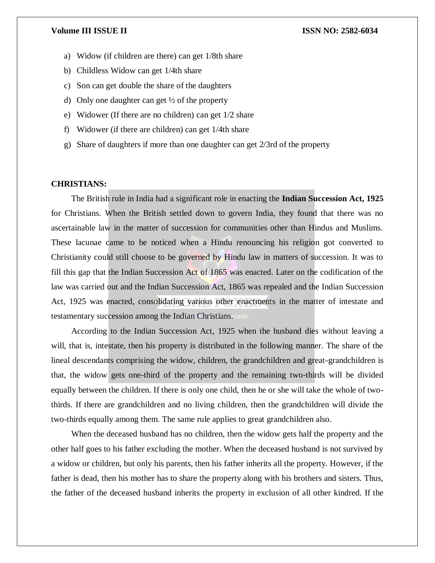- a) Widow (if children are there) can get 1/8th share
- b) Childless Widow can get 1/4th share
- c) Son can get double the share of the daughters
- d) Only one daughter can get  $\frac{1}{2}$  of the property
- e) Widower (If there are no children) can get 1/2 share
- f) Widower (if there are children) can get 1/4th share
- g) Share of daughters if more than one daughter can get 2/3rd of the property

#### **CHRISTIANS:**

The British rule in India had a significant role in enacting the **Indian Succession Act, 1925** for Christians. When the British settled down to govern India, they found that there was no ascertainable law in the matter of succession for communities other than Hindus and Muslims. These lacunae came to be noticed when a Hindu renouncing his religion got converted to Christianity could still choose to be governed by Hindu law in matters of succession. It was to fill this gap that the Indian Succession Act of 1865 was enacted. Later on the codification of the law was carried out and the Indian Succession Act, 1865 was repealed and the Indian Succession Act, 1925 was enacted, consolidating various other enactments in the matter of intestate and testamentary succession among the Indian Christians.

According to the Indian Succession Act, 1925 when the husband dies without leaving a will, that is, intestate, then his property is distributed in the following manner. The share of the lineal descendants comprising the widow, children, the grandchildren and great-grandchildren is that, the widow gets one-third of the property and the remaining two-thirds will be divided equally between the children. If there is only one child, then he or she will take the whole of twothirds. If there are grandchildren and no living children, then the grandchildren will divide the two-thirds equally among them. The same rule applies to great grandchildren also.

When the deceased husband has no children, then the widow gets half the property and the other half goes to his father excluding the mother. When the deceased husband is not survived by a widow or children, but only his parents, then his father inherits all the property. However, if the father is dead, then his mother has to share the property along with his brothers and sisters. Thus, the father of the deceased husband inherits the property in exclusion of all other kindred. If the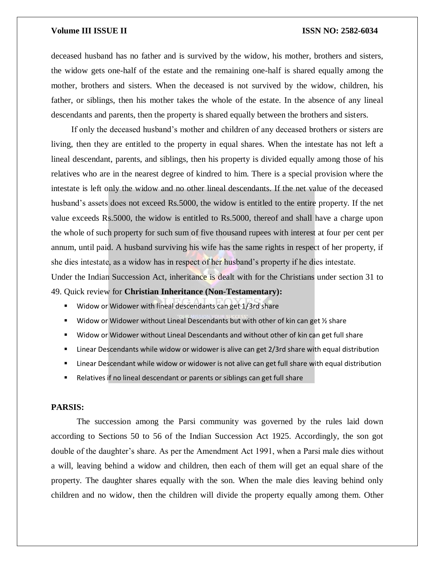deceased husband has no father and is survived by the widow, his mother, brothers and sisters, the widow gets one-half of the estate and the remaining one-half is shared equally among the mother, brothers and sisters. When the deceased is not survived by the widow, children, his father, or siblings, then his mother takes the whole of the estate. In the absence of any lineal descendants and parents, then the property is shared equally between the brothers and sisters.

If only the deceased husband's mother and children of any deceased brothers or sisters are living, then they are entitled to the property in equal shares. When the intestate has not left a lineal descendant, parents, and siblings, then his property is divided equally among those of his relatives who are in the nearest degree of kindred to him. There is a special provision where the intestate is left only the widow and no other lineal descendants. If the net value of the deceased husband's assets does not exceed Rs.5000, the widow is entitled to the entire property. If the net value exceeds Rs.5000, the widow is entitled to Rs.5000, thereof and shall have a charge upon the whole of such property for such sum of five thousand rupees with interest at four per cent per annum, until paid. A husband surviving his wife has the same rights in respect of her property, if she dies intestate, as a widow has in respect of her husband's property if he dies intestate.

Under the Indian Succession Act, inheritance is dealt with for the Christians under section 31 to

49. Quick review for **Christian Inheritance (Non-Testamentary):**

- Widow or Widower with lineal descendants can get 1/3rd share
- Widow or Widower without Lineal Descendants but with other of kin can get  $\frac{1}{2}$  share
- Widow or Widower without Lineal Descendants and without other of kin can get full share
- Linear Descendants while widow or widower is alive can get 2/3rd share with equal distribution
- **EXT** Linear Descendant while widow or widower is not alive can get full share with equal distribution
- Relatives if no lineal descendant or parents or siblings can get full share

#### **PARSIS:**

The succession among the Parsi community was governed by the rules laid down according to Sections 50 to 56 of the Indian Succession Act 1925. Accordingly, the son got double of the daughter's share. As per the Amendment Act 1991, when a Parsi male dies without a will, leaving behind a widow and children, then each of them will get an equal share of the property. The daughter shares equally with the son. When the male dies leaving behind only children and no widow, then the children will divide the property equally among them. Other